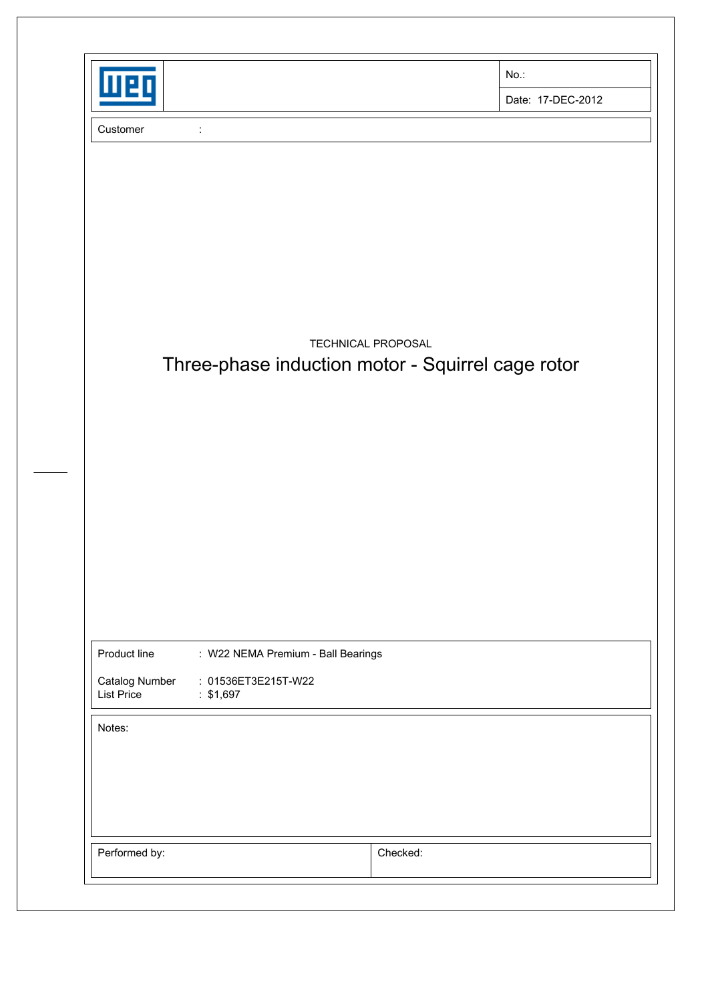| MEI                                                 |                                                                        | No.:               |                   |
|-----------------------------------------------------|------------------------------------------------------------------------|--------------------|-------------------|
|                                                     |                                                                        |                    | Date: 17-DEC-2012 |
| Customer                                            |                                                                        |                    |                   |
|                                                     | Three-phase induction motor - Squirrel cage rotor                      | TECHNICAL PROPOSAL |                   |
| Product line<br>Catalog Number<br><b>List Price</b> | : W22 NEMA Premium - Ball Bearings<br>: 01536ET3E215T-W22<br>: \$1,697 |                    |                   |
| Notes:                                              |                                                                        |                    |                   |
|                                                     |                                                                        |                    |                   |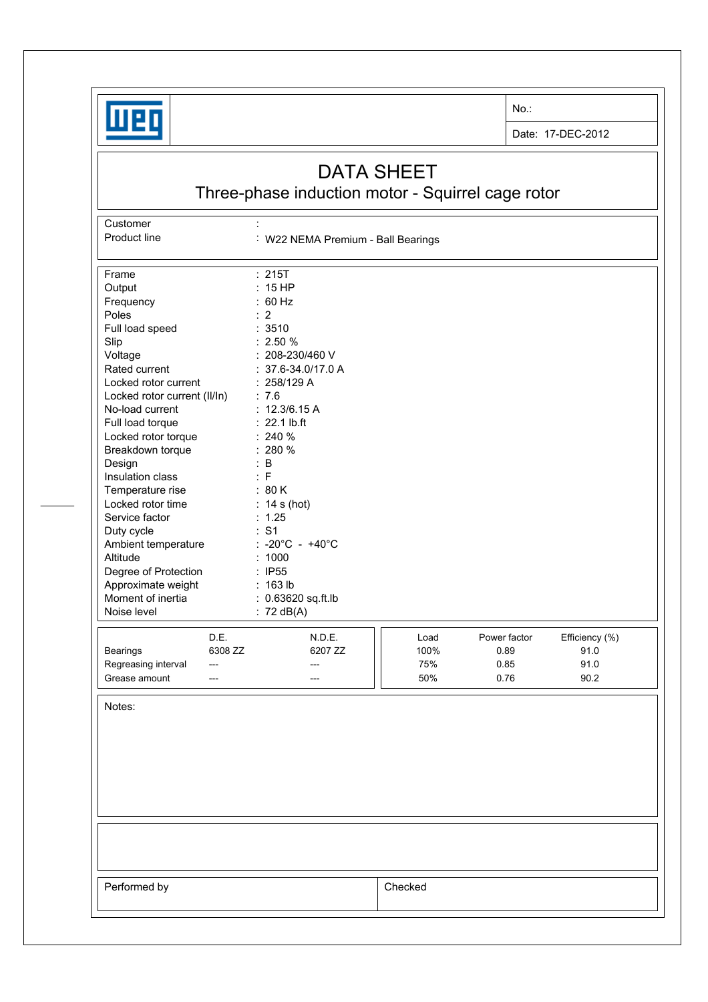

**Customer** 

No.:

Date: 17-DEC-2012

## DATA SHEET

Three-phase induction motor - Squirrel cage rotor

Product line : W22 NEMA Premium - Ball Bearings Frame : 215T Output : 15 HP<br>Frequency : 60 Hz Frequency Poles : 2<br>
Full load speed : 2510 Full load speed Slip : 2.50 % Voltage : 208-230/460 V Rated current : 37.6-34.0/17.0 A Locked rotor current : 258/129 A Locked rotor current (II/In) : 7.6 No-load current : 12.3/6.15 A Full load torque : 22.1 lb.ft Locked rotor torque : 240 % Breakdown torque : 280 % Design : B Insulation class : F Temperature rise : 80 K Locked rotor time : 14 s (hot) Service factor : 1.25 Duty cycle  $\qquad \qquad : S1$ Ambient temperature : -20°C - +40°C Altitude : 1000 Degree of Protection : IP55 Approximate weight : 163 lb Moment of inertia : 0.63620 sq.ft.lb Noise level : 72 dB(A) D.E. N.D.E. **N.D.E. Load** Power factor Efficiency (%) Bearings 6308 ZZ 6207 ZZ 100% 0.89 91.0 Regreasing interval --- --- --- --- --- --- 75% 0.85 91.0 Grease amount --- --- --- --- --- --- --- | | 50% 0.76 90.2 Notes: Performed by **Checked**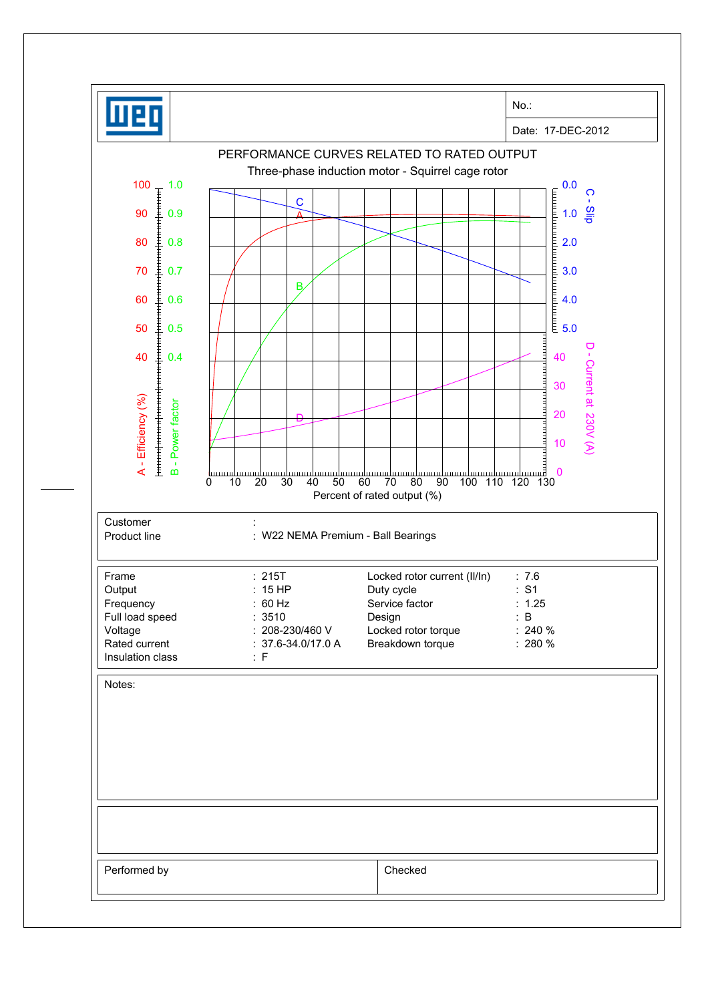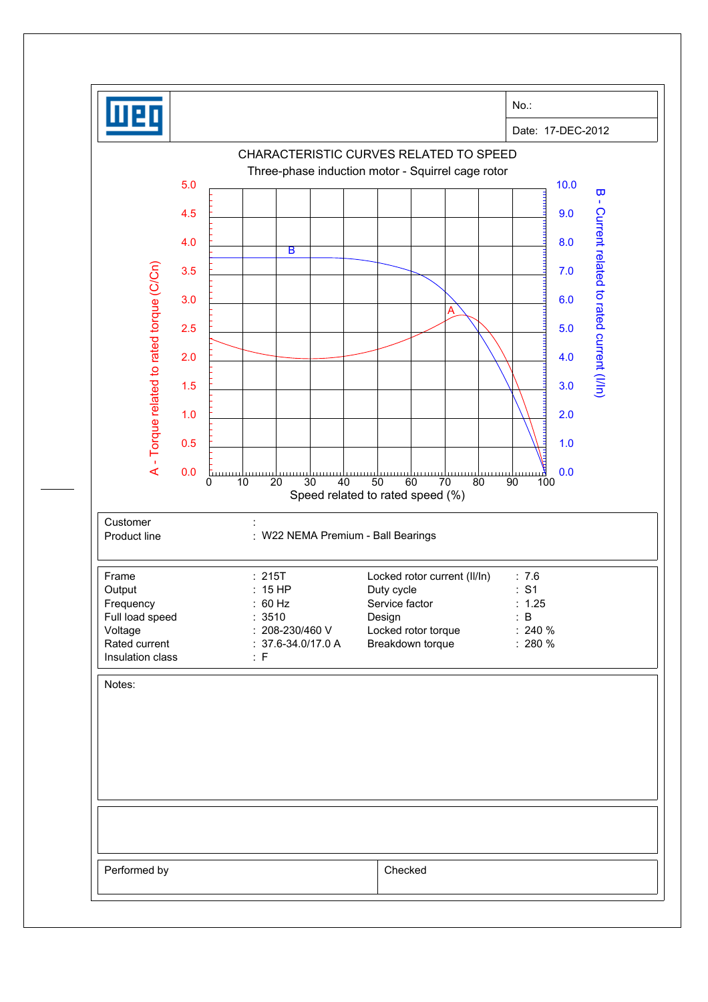|                                                  |                                             |                                                          | No.:                                           |
|--------------------------------------------------|---------------------------------------------|----------------------------------------------------------|------------------------------------------------|
|                                                  |                                             |                                                          | Date: 17-DEC-2012                              |
|                                                  |                                             | CHARACTERISTIC CURVES RELATED TO SPEED                   |                                                |
| 5.0                                              |                                             | Three-phase induction motor - Squirrel cage rotor        | 10.0                                           |
|                                                  |                                             |                                                          | $\overline{\mathbf{u}}$<br>$\mathbf{I}$        |
| 4.5                                              |                                             |                                                          | 9.0                                            |
| 4.0                                              | B                                           |                                                          | 8.0                                            |
| 3.5                                              |                                             |                                                          | 7.0                                            |
| 3.0                                              |                                             |                                                          | 6.0                                            |
| 2.5                                              |                                             |                                                          | 5.0                                            |
|                                                  |                                             |                                                          |                                                |
| 2.0                                              |                                             |                                                          | Current related to rated current (I/In)<br>4.0 |
| 1.5                                              |                                             |                                                          | 3.0                                            |
| A - Torque related to rated torque (C/Cn)<br>1.0 |                                             |                                                          | 2.0                                            |
| 0.5                                              |                                             |                                                          | 1.0                                            |
| 0.0                                              |                                             |                                                          | 0.0                                            |
|                                                  | Ш<br>20<br>30<br>40<br>0<br>10              | 50<br>60<br>70<br>80<br>Speed related to rated speed (%) | لا بىرىيە<br>100<br>90                         |
| Customer                                         |                                             |                                                          |                                                |
| Product line                                     | : W22 NEMA Premium - Ball Bearings          |                                                          |                                                |
|                                                  |                                             |                                                          |                                                |
| Frame<br>Output                                  | : 215T<br>: 15 HP                           | Locked rotor current (II/In)<br>Duty cycle               | : 7.6<br>: S1                                  |
| Frequency<br>Full load speed                     | : 60 Hz<br>: 3510                           | Service factor<br>Design                                 | : 1.25<br>: B                                  |
| Voltage<br>Rated current                         | : 208-230/460 V<br>$: 37.6 - 34.0 / 17.0 A$ | Locked rotor torque<br>Breakdown torque                  | $: 240 \%$<br>$: 280 \%$                       |
| Insulation class                                 | : F                                         |                                                          |                                                |
| Notes:                                           |                                             |                                                          |                                                |
|                                                  |                                             |                                                          |                                                |
|                                                  |                                             |                                                          |                                                |
|                                                  |                                             |                                                          |                                                |
|                                                  |                                             |                                                          |                                                |
|                                                  |                                             |                                                          |                                                |
|                                                  |                                             |                                                          |                                                |
|                                                  |                                             |                                                          |                                                |
| Performed by                                     |                                             | Checked                                                  |                                                |